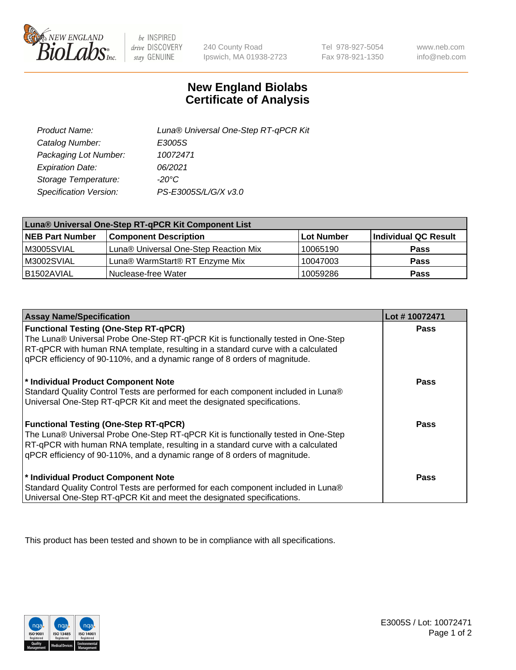

 $be$  INSPIRED drive DISCOVERY stay GENUINE

240 County Road Ipswich, MA 01938-2723

Tel 978-927-5054 Fax 978-921-1350

www.neb.com info@neb.com

## **New England Biolabs Certificate of Analysis**

| Product Name:           | Luna® Universal One-Step RT-qPCR Kit |
|-------------------------|--------------------------------------|
| Catalog Number:         | E3005S                               |
| Packaging Lot Number:   | 10072471                             |
| <b>Expiration Date:</b> | 06/2021                              |
| Storage Temperature:    | $-20^{\circ}$ C                      |
| Specification Version:  | PS-E3005S/L/G/X v3.0                 |

| Luna® Universal One-Step RT-qPCR Kit Component List |                                       |            |                      |  |
|-----------------------------------------------------|---------------------------------------|------------|----------------------|--|
| <b>NEB Part Number</b>                              | <b>Component Description</b>          | Lot Number | Individual QC Result |  |
| M3005SVIAL                                          | Luna® Universal One-Step Reaction Mix | 10065190   | <b>Pass</b>          |  |
| M3002SVIAL                                          | Luna® WarmStart® RT Enzyme Mix        | 10047003   | <b>Pass</b>          |  |
| B1502AVIAL                                          | Nuclease-free Water                   | 10059286   | <b>Pass</b>          |  |

| <b>Assay Name/Specification</b>                                                                                                                                                                                                                    | Lot #10072471 |
|----------------------------------------------------------------------------------------------------------------------------------------------------------------------------------------------------------------------------------------------------|---------------|
| <b>Functional Testing (One-Step RT-qPCR)</b><br>The Luna® Universal Probe One-Step RT-qPCR Kit is functionally tested in One-Step                                                                                                                  | <b>Pass</b>   |
| RT-qPCR with human RNA template, resulting in a standard curve with a calculated<br>gPCR efficiency of 90-110%, and a dynamic range of 8 orders of magnitude.                                                                                      |               |
| * Individual Product Component Note<br>Standard Quality Control Tests are performed for each component included in Luna®<br>Universal One-Step RT-qPCR Kit and meet the designated specifications.                                                 | Pass          |
| <b>Functional Testing (One-Step RT-qPCR)</b>                                                                                                                                                                                                       | Pass          |
| The Luna® Universal Probe One-Step RT-qPCR Kit is functionally tested in One-Step<br>RT-qPCR with human RNA template, resulting in a standard curve with a calculated<br>gPCR efficiency of 90-110%, and a dynamic range of 8 orders of magnitude. |               |
| * Individual Product Component Note                                                                                                                                                                                                                | <b>Pass</b>   |
| Standard Quality Control Tests are performed for each component included in Luna®<br>Universal One-Step RT-qPCR Kit and meet the designated specifications.                                                                                        |               |

This product has been tested and shown to be in compliance with all specifications.